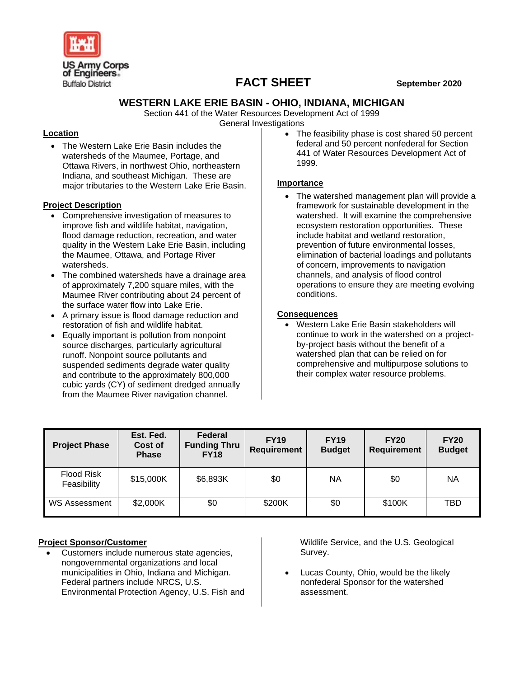

# **FACT SHEET September 2020**

## **WESTERN LAKE ERIE BASIN - OHIO, INDIANA, MICHIGAN**

Section 441 of the Water Resources Development Act of 1999 General Investigations

### **Location**

• The Western Lake Erie Basin includes the watersheds of the Maumee, Portage, and Ottawa Rivers, in northwest Ohio, northeastern Indiana, and southeast Michigan. These are major tributaries to the Western Lake Erie Basin.

### **Project Description**

- Comprehensive investigation of measures to improve fish and wildlife habitat, navigation, flood damage reduction, recreation, and water quality in the Western Lake Erie Basin, including the Maumee, Ottawa, and Portage River watersheds.
- The combined watersheds have a drainage area of approximately 7,200 square miles, with the Maumee River contributing about 24 percent of the surface water flow into Lake Erie.
- A primary issue is flood damage reduction and restoration of fish and wildlife habitat.
- Equally important is pollution from nonpoint source discharges, particularly agricultural runoff. Nonpoint source pollutants and suspended sediments degrade water quality and contribute to the approximately 800,000 cubic yards (CY) of sediment dredged annually from the Maumee River navigation channel.

The feasibility phase is cost shared 50 percent federal and 50 percent nonfederal for Section 441 of Water Resources Development Act of 1999.

### **Importance**

• The watershed management plan will provide a framework for sustainable development in the watershed. It will examine the comprehensive ecosystem restoration opportunities. These include habitat and wetland restoration, prevention of future environmental losses, elimination of bacterial loadings and pollutants of concern, improvements to navigation channels, and analysis of flood control operations to ensure they are meeting evolving conditions.

## **Consequences**

• Western Lake Erie Basin stakeholders will continue to work in the watershed on a projectby-project basis without the benefit of a watershed plan that can be relied on for comprehensive and multipurpose solutions to their complex water resource problems.

| <b>Project Phase</b>             | Est. Fed.<br>Cost of<br><b>Phase</b> | Federal<br><b>Funding Thru</b><br><b>FY18</b> | <b>FY19</b><br>Requirement | <b>FY19</b><br><b>Budget</b> | <b>FY20</b><br><b>Requirement</b> | <b>FY20</b><br><b>Budget</b> |
|----------------------------------|--------------------------------------|-----------------------------------------------|----------------------------|------------------------------|-----------------------------------|------------------------------|
| <b>Flood Risk</b><br>Feasibility | \$15,000K                            | \$6,893K                                      | \$0                        | NA                           | \$0                               | ΝA                           |
| <b>WS Assessment</b>             | \$2,000K                             | \$0                                           | \$200K                     | \$0                          | \$100K                            | TBD                          |

# **Project Sponsor/Customer**

• Customers include numerous state agencies, nongovernmental organizations and local municipalities in Ohio, Indiana and Michigan. Federal partners include NRCS, U.S. Environmental Protection Agency, U.S. Fish and Wildlife Service, and the U.S. Geological Survey.

• Lucas County, Ohio, would be the likely nonfederal Sponsor for the watershed assessment.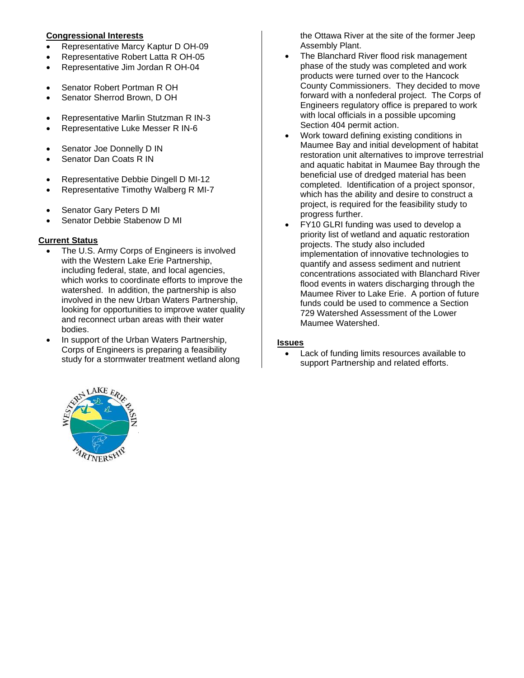### **Congressional Interests**

- Representative Marcy Kaptur D OH-09
- Representative Robert Latta R OH-05
- Representative Jim Jordan R OH-04
- Senator Robert Portman R OH
- Senator Sherrod Brown, D OH
- Representative Marlin Stutzman R IN-3
- Representative Luke Messer R IN-6
- Senator Joe Donnelly D IN
- Senator Dan Coats R IN
- Representative Debbie Dingell D MI-12
- Representative Timothy Walberg R MI-7
- Senator Gary Peters D MI
- Senator Debbie Stabenow D MI

# **Current Status**

- The U.S. Army Corps of Engineers is involved with the Western Lake Erie Partnership, including federal, state, and local agencies, which works to coordinate efforts to improve the watershed. In addition, the partnership is also involved in the new Urban Waters Partnership, looking for opportunities to improve water quality and reconnect urban areas with their water bodies.
- In support of the Urban Waters Partnership, Corps of Engineers is preparing a feasibility study for a stormwater treatment wetland along

the Ottawa River at the site of the former Jeep Assembly Plant.

- The Blanchard River flood risk management phase of the study was completed and work products were turned over to the Hancock County Commissioners. They decided to move forward with a nonfederal project. The Corps of Engineers regulatory office is prepared to work with local officials in a possible upcoming Section 404 permit action.
- Work toward defining existing conditions in Maumee Bay and initial development of habitat restoration unit alternatives to improve terrestrial and aquatic habitat in Maumee Bay through the beneficial use of dredged material has been completed. Identification of a project sponsor, which has the ability and desire to construct a project, is required for the feasibility study to progress further.
- FY10 GLRI funding was used to develop a priority list of wetland and aquatic restoration projects. The study also included implementation of innovative technologies to quantify and assess sediment and nutrient concentrations associated with Blanchard River flood events in waters discharging through the Maumee River to Lake Erie. A portion of future funds could be used to commence a Section 729 Watershed Assessment of the Lower Maumee Watershed.

# **Issues**

• Lack of funding limits resources available to support Partnership and related efforts.